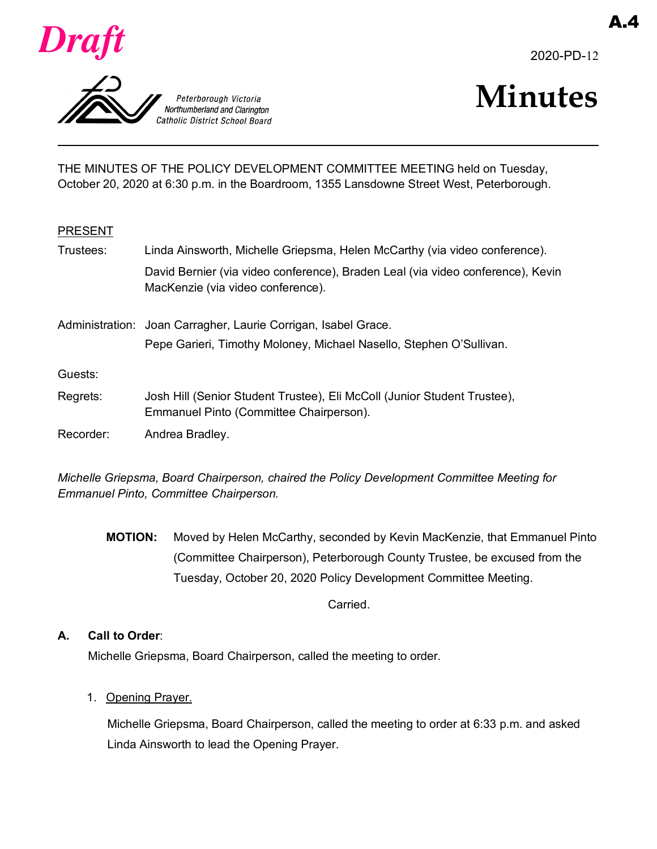



2020-PD-12



THE MINUTES OF THE POLICY DEVELOPMENT COMMITTEE MEETING held on Tuesday, October 20, 2020 at 6:30 p.m. in the Boardroom, 1355 Lansdowne Street West, Peterborough.

## PRESENT

| Trustees: | Linda Ainsworth, Michelle Griepsma, Helen McCarthy (via video conference).                                           |
|-----------|----------------------------------------------------------------------------------------------------------------------|
|           | David Bernier (via video conference), Braden Leal (via video conference), Kevin<br>MacKenzie (via video conference). |
|           | Administration: Joan Carragher, Laurie Corrigan, Isabel Grace.                                                       |
|           | Pepe Garieri, Timothy Moloney, Michael Nasello, Stephen O'Sullivan.                                                  |
| Guests:   |                                                                                                                      |
| Regrets:  | Josh Hill (Senior Student Trustee), Eli McColl (Junior Student Trustee),<br>Emmanuel Pinto (Committee Chairperson).  |
| Recorder: | Andrea Bradley.                                                                                                      |

*Michelle Griepsma, Board Chairperson, chaired the Policy Development Committee Meeting for Emmanuel Pinto, Committee Chairperson.* 

**MOTION:** Moved by Helen McCarthy, seconded by Kevin MacKenzie, that Emmanuel Pinto (Committee Chairperson), Peterborough County Trustee, be excused from the Tuesday, October 20, 2020 Policy Development Committee Meeting.

Carried.

## **A. Call to Order**:

Michelle Griepsma, Board Chairperson, called the meeting to order.

1. Opening Prayer.

Michelle Griepsma, Board Chairperson, called the meeting to order at 6:33 p.m. and asked Linda Ainsworth to lead the Opening Prayer.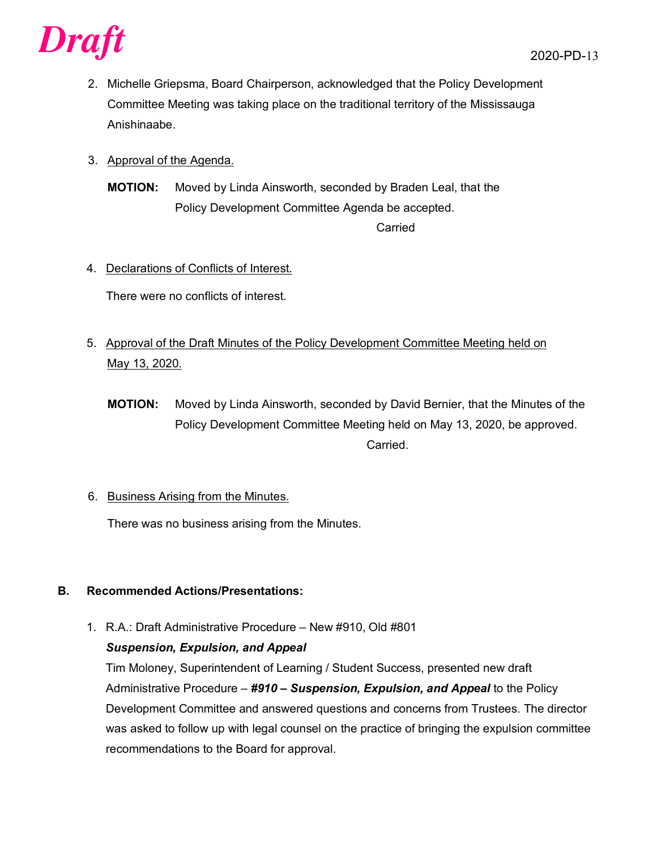

- 2. Michelle Griepsma, Board Chairperson, acknowledged that the Policy Development Committee Meeting was taking place on the traditional territory of the Mississauga Anishinaabe.
- 3. Approval of the Agenda.

**MOTION:** Moved by Linda Ainsworth, seconded by Braden Leal, that the Policy Development Committee Agenda be accepted. Carried

## 4. Declarations of Conflicts of Interest.

There were no conflicts of interest.

- 5. Approval of the Draft Minutes of the Policy Development Committee Meeting held on May 13, 2020.
	- **MOTION:** Moved by Linda Ainsworth, seconded by David Bernier, that the Minutes of the Policy Development Committee Meeting held on May 13, 2020, be approved. **Carried**
- 6. Business Arising from the Minutes.

There was no business arising from the Minutes.

## **B. Recommended Actions/Presentations:**

1. R.A.: Draft Administrative Procedure – New #910, Old #801

## *Suspension, Expulsion, and Appeal*

Tim Moloney, Superintendent of Learning / Student Success, presented new draft Administrative Procedure – *#910 – Suspension, Expulsion, and Appeal* to the Policy Development Committee and answered questions and concerns from Trustees. The director was asked to follow up with legal counsel on the practice of bringing the expulsion committee recommendations to the Board for approval.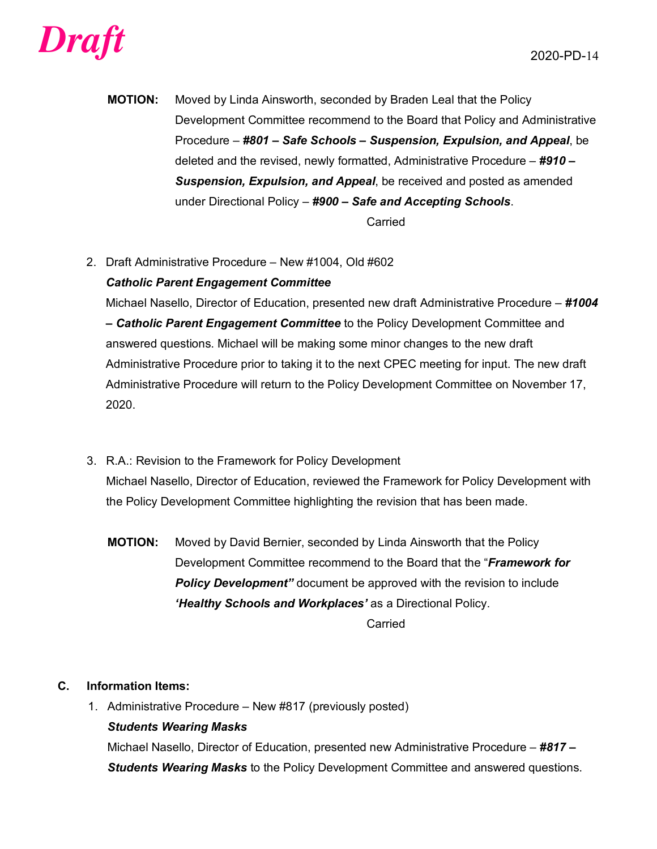

- **MOTION:** Moved by Linda Ainsworth, seconded by Braden Leal that the Policy Development Committee recommend to the Board that Policy and Administrative Procedure – *#801 – Safe Schools – Suspension, Expulsion, and Appeal*, be deleted and the revised, newly formatted, Administrative Procedure – *#910 – Suspension, Expulsion, and Appeal*, be received and posted as amended under Directional Policy – *#900 – Safe and Accepting Schools*. Carried
- 2. Draft Administrative Procedure New #1004, Old #602

# *Catholic Parent Engagement Committee*

Michael Nasello, Director of Education, presented new draft Administrative Procedure – *#1004 – Catholic Parent Engagement Committee* to the Policy Development Committee and answered questions. Michael will be making some minor changes to the new draft Administrative Procedure prior to taking it to the next CPEC meeting for input. The new draft Administrative Procedure will return to the Policy Development Committee on November 17, 2020.

- 3. R.A.: Revision to the Framework for Policy Development Michael Nasello, Director of Education, reviewed the Framework for Policy Development with the Policy Development Committee highlighting the revision that has been made.
	- **MOTION:** Moved by David Bernier, seconded by Linda Ainsworth that the Policy Development Committee recommend to the Board that the "*Framework for*  **Policy Development**" document be approved with the revision to include *'Healthy Schools and Workplaces'* as a Directional Policy.

Carried

## **C. Information Items:**

1. Administrative Procedure – New #817 (previously posted)

## *Students Wearing Masks*

Michael Nasello, Director of Education, presented new Administrative Procedure – *#817 – Students Wearing Masks* to the Policy Development Committee and answered questions.